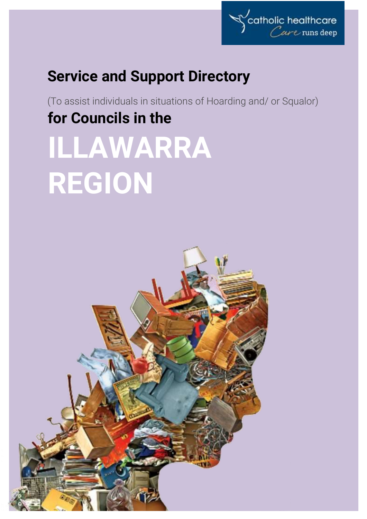

# **Service and Support Directory**

(To assist individuals in situations of Hoarding and/ or Squalor) **for Councils in the**

# **ILLAWARRA REGION**

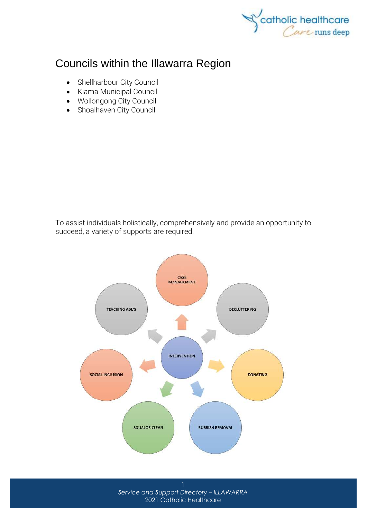

## Councils within the Illawarra Region

- [Shellharbour City Council](http://www.shellharbour.nsw.gov.au/)
- [Kiama Municipal Council](http://www.kiama.nsw.gov.au/)
- [Wollongong City Council](http://www.wollongong.nsw.gov.au/)
- [Shoalhaven City Council](http://www.shoalhaven.nsw.gov.au/)

To assist individuals holistically, comprehensively and provide an opportunity to succeed, a variety of supports are required.



*Service and Support Directory – ILLAWARRA* 2021 Catholic Healthcare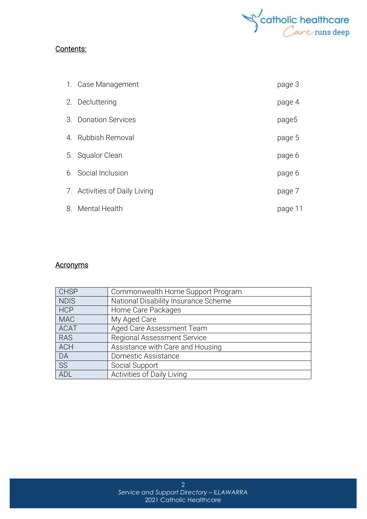

#### Contents:

| 1. Case Management            | page 3  |
|-------------------------------|---------|
| 2. Decluttering               | page 4  |
| 3. Donation Services          | page5   |
| 4. Rubbish Removal            | page 5  |
| 5. Squalor Clean              | page 6  |
| 6. Social Inclusion           | page 6  |
| 7. Activities of Daily Living | page 7  |
| 8. Mental Health              | page 11 |

#### **Acronyms**

| <b>CHSP</b> | Commonwealth Home Support Program    |
|-------------|--------------------------------------|
| <b>NDIS</b> | National Disability Insurance Scheme |
| <b>HCP</b>  | Home Care Packages                   |
| <b>MAC</b>  | My Aged Care                         |
| <b>ACAT</b> | Aged Care Assessment Team            |
| <b>RAS</b>  | <b>Regional Assessment Service</b>   |
| <b>ACH</b>  | Assistance with Care and Housing     |
| DA          | Domestic Assistance                  |
| <b>SS</b>   | Social Support                       |
| ADL         | Activities of Daily Living           |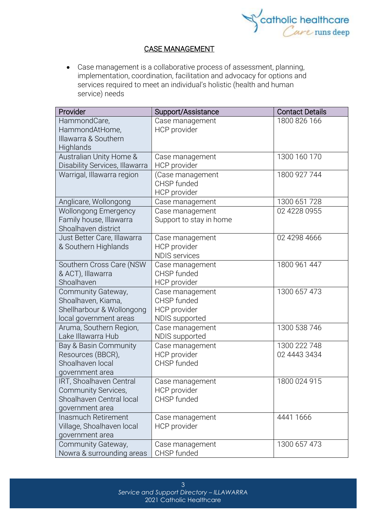

#### CASE MANAGEMENT

• Case management is a collaborative process of assessment, planning, implementation, coordination, facilitation and advocacy for options and services required to meet an individual's holistic (health and human service) needs

| Provider                       | Support/Assistance      | <b>Contact Details</b> |
|--------------------------------|-------------------------|------------------------|
| HammondCare,                   | Case management         | 1800 826 166           |
| HammondAtHome,                 | <b>HCP</b> provider     |                        |
| Illawarra & Southern           |                         |                        |
| Highlands                      |                         |                        |
| Australian Unity Home &        | Case management         | 1300 160 170           |
| Disability Services, Illawarra | <b>HCP</b> provider     |                        |
| Warrigal, Illawarra region     | (Case management        | 1800 927 744           |
|                                | CHSP funded             |                        |
|                                | HCP provider            |                        |
| Anglicare, Wollongong          | Case management         | 1300 651 728           |
| <b>Wollongong Emergency</b>    | Case management         | 02 4228 0955           |
| Family house, Illawarra        | Support to stay in home |                        |
| Shoalhaven district            |                         |                        |
| Just Better Care, Illawarra    | Case management         | 02 4298 4666           |
| & Southern Highlands           | HCP provider            |                        |
|                                | <b>NDIS services</b>    |                        |
| Southern Cross Care (NSW       | Case management         | 1800 961 447           |
| & ACT), Illawarra              | CHSP funded             |                        |
| Shoalhaven                     | <b>HCP</b> provider     |                        |
| Community Gateway,             | Case management         | 1300 657 473           |
| Shoalhaven, Kiama,             | CHSP funded             |                        |
| Shellharbour & Wollongong      | HCP provider            |                        |
| local government areas         | <b>NDIS</b> supported   |                        |
| Aruma, Southern Region,        | Case management         | 1300 538 746           |
| Lake Illawarra Hub             | NDIS supported          |                        |
| Bay & Basin Community          | Case management         | 1300 222 748           |
| Resources (BBCR),              | HCP provider            | 02 4443 3434           |
| Shoalhaven local               | CHSP funded             |                        |
| government area                |                         |                        |
| IRT, Shoalhaven Central        | Case management         | 1800 024 915           |
| Community Services,            | HCP provider            |                        |
| Shoalhaven Central local       | CHSP funded             |                        |
| government area                |                         |                        |
| Inasmuch Retirement            | Case management         | 4441 1666              |
| Village, Shoalhaven local      | <b>HCP</b> provider     |                        |
| government area                |                         |                        |
| Community Gateway,             | Case management         | 1300 657 473           |
| Nowra & surrounding areas      | CHSP funded             |                        |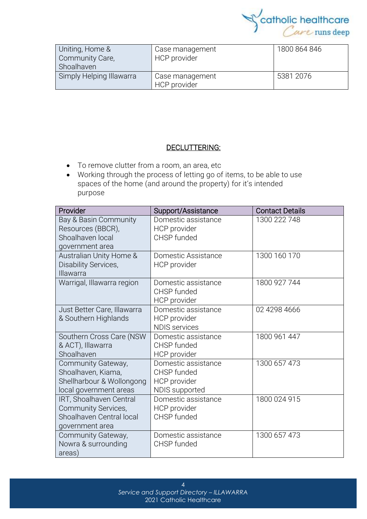

| Uniting, Home &<br>Community Care,<br>Shoalhaven | Case management<br>HCP provider | 1800 864 846 |
|--------------------------------------------------|---------------------------------|--------------|
| Simply Helping Illawarra                         | Case management<br>HCP provider | 5381 2076    |

#### DECLUTTERING:

- To remove clutter from a room, an area, etc
- Working through the process of letting go of items, to be able to use spaces of the home (and around the property) for it's intended purpose

| Provider                                                                                        | Support/Assistance                                                   | <b>Contact Details</b> |
|-------------------------------------------------------------------------------------------------|----------------------------------------------------------------------|------------------------|
| Bay & Basin Community<br>Resources (BBCR),<br>Shoalhaven local<br>government area               | Domestic assistance<br>HCP provider<br>CHSP funded                   | 1300 222 748           |
| Australian Unity Home &<br>Disability Services,<br>Illawarra                                    | Domestic Assistance<br><b>HCP</b> provider                           | 1300 160 170           |
| Warrigal, Illawarra region                                                                      | Domestic assistance<br>CHSP funded<br>HCP provider                   | 1800 927 744           |
| Just Better Care, Illawarra<br>& Southern Highlands                                             | Domestic assistance<br>HCP provider<br><b>NDIS</b> services          | 02 4298 4666           |
| Southern Cross Care (NSW<br>& ACT), Illawarra<br>Shoalhaven                                     | Domestic assistance<br>CHSP funded<br>HCP provider                   | 1800 961 447           |
| Community Gateway,<br>Shoalhaven, Kiama,<br>Shellharbour & Wollongong<br>local government areas | Domestic assistance<br>CHSP funded<br>HCP provider<br>NDIS supported | 1300 657 473           |
| IRT, Shoalhaven Central<br>Community Services,<br>Shoalhaven Central local<br>government area   | Domestic assistance<br>HCP provider<br>CHSP funded                   | 1800 024 915           |
| Community Gateway,<br>Nowra & surrounding<br>areas)                                             | Domestic assistance<br>CHSP funded                                   | 1300 657 473           |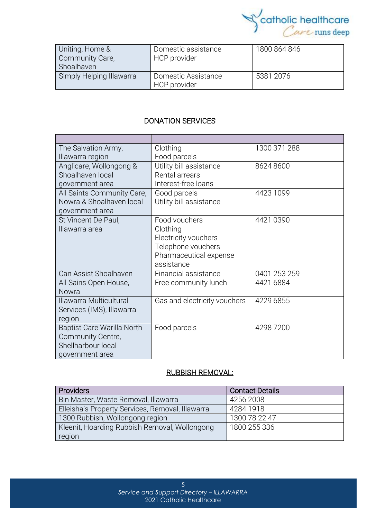

| Uniting, Home &<br>Community Care,<br>Shoalhaven | Domestic assistance<br>HCP provider | 1800 864 846 |
|--------------------------------------------------|-------------------------------------|--------------|
| Simply Helping Illawarra                         | Domestic Assistance<br>HCP provider | 5381 2076    |

#### DONATION SERVICES

| The Salvation Army,               | Clothing                     | 1300 371 288 |
|-----------------------------------|------------------------------|--------------|
| Illawarra region                  | Food parcels                 |              |
| Anglicare, Wollongong &           | Utility bill assistance      | 8624 8600    |
| Shoalhaven local                  | Rental arrears               |              |
| government area                   | Interest-free loans          |              |
| All Saints Community Care,        | Good parcels                 | 4423 1099    |
| Nowra & Shoalhaven local          | Utility bill assistance      |              |
| government area                   |                              |              |
| St Vincent De Paul,               | Food vouchers                | 4421 0390    |
| Illawarra area                    | Clothing                     |              |
|                                   | Electricity vouchers         |              |
|                                   | Telephone vouchers           |              |
|                                   | Pharmaceutical expense       |              |
|                                   | assistance                   |              |
| Can Assist Shoalhaven             | Financial assistance         | 0401 253 259 |
| All Sains Open House,             | Free community lunch         | 4421 6884    |
| Nowra                             |                              |              |
| Illawarra Multicultural           | Gas and electricity vouchers | 4229 6855    |
| Services (IMS), Illawarra         |                              |              |
| region                            |                              |              |
| <b>Baptist Care Warilla North</b> | Food parcels                 | 42987200     |
| Community Centre,                 |                              |              |
| Shellharbour local                |                              |              |
| government area                   |                              |              |

#### RUBBISH REMOVAL:

| <b>Providers</b>                                 | <b>Contact Details</b> |
|--------------------------------------------------|------------------------|
| Bin Master, Waste Removal, Illawarra             | 4256 2008              |
| Elleisha's Property Services, Removal, Illawarra | 4284 1918              |
| 1300 Rubbish, Wollongong region                  | 1300 78 22 47          |
| Kleenit, Hoarding Rubbish Removal, Wollongong    | 1800 255 336           |
| region                                           |                        |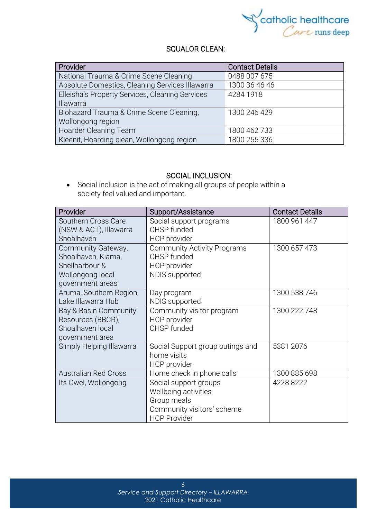

#### SQUALOR CLEAN:

| Provider                                        | <b>Contact Details</b> |
|-------------------------------------------------|------------------------|
| National Trauma & Crime Scene Cleaning          | 0488 007 675           |
| Absolute Domestics, Cleaning Services Illawarra | 1300 36 46 46          |
| Elleisha's Property Services, Cleaning Services | 4284 1918              |
| Illawarra                                       |                        |
| Biohazard Trauma & Crime Scene Cleaning,        | 1300 246 429           |
| Wollongong region                               |                        |
| Hoarder Cleaning Team                           | 1800 462 733           |
| Kleenit, Hoarding clean, Wollongong region      | 1800 255 336           |

#### SOCIAL INCLUSION:

• Social [inclusion](https://www.collinsdictionary.com/dictionary/english/inclusion) is the act of making all groups of people within a society [feel](https://www.collinsdictionary.com/dictionary/english/feel) valued and [important.](https://www.collinsdictionary.com/dictionary/english/important)

| Provider                    | Support/Assistance                 | <b>Contact Details</b> |
|-----------------------------|------------------------------------|------------------------|
| Southern Cross Care         | Social support programs            | 1800 961 447           |
| (NSW & ACT), Illawarra      | CHSP funded                        |                        |
| Shoalhaven                  | HCP provider                       |                        |
| Community Gateway,          | <b>Community Activity Programs</b> | 1300 657 473           |
| Shoalhaven, Kiama,          | CHSP funded                        |                        |
| Shellharbour &              | HCP provider                       |                        |
| Wollongong local            | NDIS supported                     |                        |
| government areas            |                                    |                        |
| Aruma, Southern Region,     | Day program                        | 1300 538 746           |
| Lake Illawarra Hub          | NDIS supported                     |                        |
| Bay & Basin Community       | Community visitor program          | 1300 222 748           |
| Resources (BBCR),           | HCP provider                       |                        |
| Shoalhaven local            | CHSP funded                        |                        |
| government area             |                                    |                        |
| Simply Helping Illawarra    | Social Support group outings and   | 5381 2076              |
|                             | home visits                        |                        |
|                             | HCP provider                       |                        |
| <b>Australian Red Cross</b> | Home check in phone calls          | 1300 885 698           |
| Its Owel, Wollongong        | Social support groups              | 4228 8222              |
|                             | Wellbeing activities               |                        |
|                             | Group meals                        |                        |
|                             | Community visitors' scheme         |                        |
|                             | <b>HCP Provider</b>                |                        |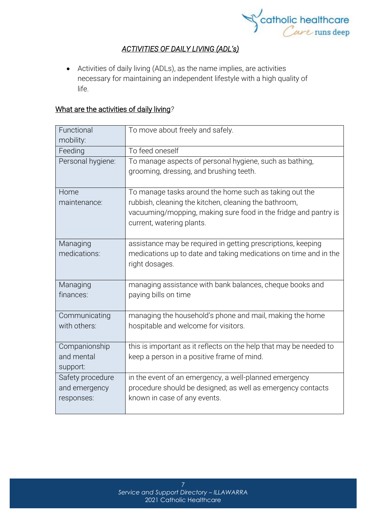

#### *ACTIVITIES OF DAILY LIVING (ADL's)*

• Activities of daily living (ADLs), as the name implies, are activities necessary for maintaining an independent lifestyle with a high quality of life.

#### What are the activities of daily living*?*

| Functional<br>mobility:                         | To move about freely and safely.                                                                                                                      |
|-------------------------------------------------|-------------------------------------------------------------------------------------------------------------------------------------------------------|
| Feeding                                         | To feed oneself                                                                                                                                       |
| Personal hygiene:                               | To manage aspects of personal hygiene, such as bathing,<br>grooming, dressing, and brushing teeth.                                                    |
| Home                                            | To manage tasks around the home such as taking out the                                                                                                |
| maintenance:                                    | rubbish, cleaning the kitchen, cleaning the bathroom,<br>vacuuming/mopping, making sure food in the fridge and pantry is<br>current, watering plants. |
| Managing<br>medications:                        | assistance may be required in getting prescriptions, keeping<br>medications up to date and taking medications on time and in the<br>right dosages.    |
| Managing<br>finances:                           | managing assistance with bank balances, cheque books and<br>paying bills on time                                                                      |
| Communicating<br>with others:                   | managing the household's phone and mail, making the home<br>hospitable and welcome for visitors.                                                      |
| Companionship<br>and mental<br>support:         | this is important as it reflects on the help that may be needed to<br>keep a person in a positive frame of mind.                                      |
| Safety procedure<br>and emergency<br>responses: | in the event of an emergency, a well-planned emergency<br>procedure should be designed; as well as emergency contacts<br>known in case of any events. |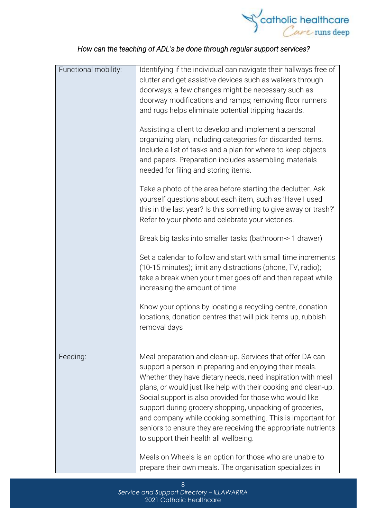

### *How can the teaching of ADL's be done through regular support services?*

| Functional mobility: | Identifying if the individual can navigate their hallways free of<br>clutter and get assistive devices such as walkers through<br>doorways; a few changes might be necessary such as<br>doorway modifications and ramps; removing floor runners<br>and rugs helps eliminate potential tripping hazards.                                                                                                                                                                                                                                                  |
|----------------------|----------------------------------------------------------------------------------------------------------------------------------------------------------------------------------------------------------------------------------------------------------------------------------------------------------------------------------------------------------------------------------------------------------------------------------------------------------------------------------------------------------------------------------------------------------|
|                      | Assisting a client to develop and implement a personal<br>organizing plan, including categories for discarded items.<br>Include a list of tasks and a plan for where to keep objects<br>and papers. Preparation includes assembling materials<br>needed for filing and storing items.                                                                                                                                                                                                                                                                    |
|                      | Take a photo of the area before starting the declutter. Ask<br>yourself questions about each item, such as 'Have I used<br>this in the last year? Is this something to give away or trash?'<br>Refer to your photo and celebrate your victories.                                                                                                                                                                                                                                                                                                         |
|                      | Break big tasks into smaller tasks (bathroom-> 1 drawer)                                                                                                                                                                                                                                                                                                                                                                                                                                                                                                 |
|                      | Set a calendar to follow and start with small time increments<br>(10-15 minutes); limit any distractions (phone, TV, radio);<br>take a break when your timer goes off and then repeat while<br>increasing the amount of time                                                                                                                                                                                                                                                                                                                             |
|                      | Know your options by locating a recycling centre, donation<br>locations, donation centres that will pick items up, rubbish<br>removal days                                                                                                                                                                                                                                                                                                                                                                                                               |
| Feeding:             | Meal preparation and clean-up. Services that offer DA can<br>support a person in preparing and enjoying their meals.<br>Whether they have dietary needs, need inspiration with meal<br>plans, or would just like help with their cooking and clean-up.<br>Social support is also provided for those who would like<br>support during grocery shopping, unpacking of groceries,<br>and company while cooking something. This is important for<br>seniors to ensure they are receiving the appropriate nutrients<br>to support their health all wellbeing. |
|                      | Meals on Wheels is an option for those who are unable to<br>prepare their own meals. The organisation specializes in                                                                                                                                                                                                                                                                                                                                                                                                                                     |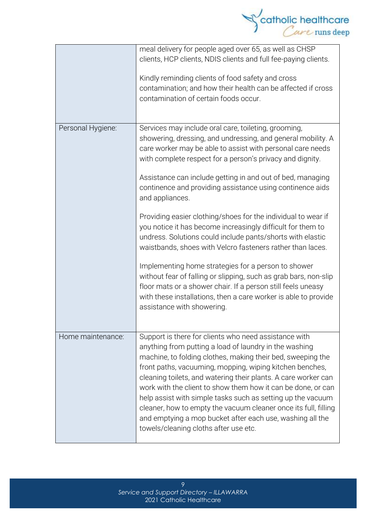

|                   | meal delivery for people aged over 65, as well as CHSP<br>clients, HCP clients, NDIS clients and full fee-paying clients.<br>Kindly reminding clients of food safety and cross<br>contamination; and how their health can be affected if cross<br>contamination of certain foods occur.                                                                                                                                                                                                                                                                                                                              |
|-------------------|----------------------------------------------------------------------------------------------------------------------------------------------------------------------------------------------------------------------------------------------------------------------------------------------------------------------------------------------------------------------------------------------------------------------------------------------------------------------------------------------------------------------------------------------------------------------------------------------------------------------|
| Personal Hygiene: | Services may include oral care, toileting, grooming,<br>showering, dressing, and undressing, and general mobility. A<br>care worker may be able to assist with personal care needs<br>with complete respect for a person's privacy and dignity.<br>Assistance can include getting in and out of bed, managing<br>continence and providing assistance using continence aids<br>and appliances.                                                                                                                                                                                                                        |
|                   | Providing easier clothing/shoes for the individual to wear if<br>you notice it has become increasingly difficult for them to<br>undress. Solutions could include pants/shorts with elastic<br>waistbands, shoes with Velcro fasteners rather than laces.                                                                                                                                                                                                                                                                                                                                                             |
|                   | Implementing home strategies for a person to shower<br>without fear of falling or slipping, such as grab bars, non-slip<br>floor mats or a shower chair. If a person still feels uneasy<br>with these installations, then a care worker is able to provide<br>assistance with showering.                                                                                                                                                                                                                                                                                                                             |
| Home maintenance: | Support is there for clients who need assistance with<br>anything from putting a load of laundry in the washing<br>machine, to folding clothes, making their bed, sweeping the<br>front paths, vacuuming, mopping, wiping kitchen benches,<br>cleaning toilets, and watering their plants. A care worker can<br>work with the client to show them how it can be done, or can<br>help assist with simple tasks such as setting up the vacuum<br>cleaner, how to empty the vacuum cleaner once its full, filling<br>and emptying a mop bucket after each use, washing all the<br>towels/cleaning cloths after use etc. |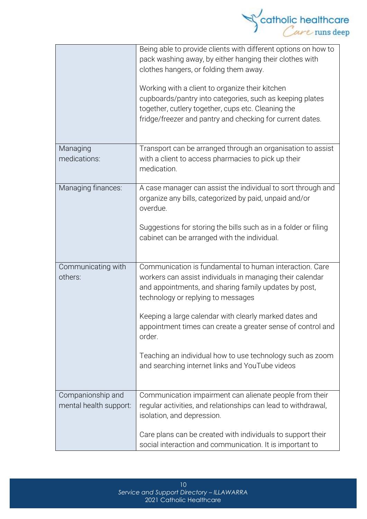

|                                             | Being able to provide clients with different options on how to<br>pack washing away, by either hanging their clothes with<br>clothes hangers, or folding them away.<br>Working with a client to organize their kitchen<br>cupboards/pantry into categories, such as keeping plates<br>together, cutlery together, cups etc. Cleaning the<br>fridge/freezer and pantry and checking for current dates.                                                                  |
|---------------------------------------------|------------------------------------------------------------------------------------------------------------------------------------------------------------------------------------------------------------------------------------------------------------------------------------------------------------------------------------------------------------------------------------------------------------------------------------------------------------------------|
| Managing<br>medications:                    | Transport can be arranged through an organisation to assist<br>with a client to access pharmacies to pick up their<br>medication.                                                                                                                                                                                                                                                                                                                                      |
| Managing finances:                          | A case manager can assist the individual to sort through and<br>organize any bills, categorized by paid, unpaid and/or<br>overdue.<br>Suggestions for storing the bills such as in a folder or filing<br>cabinet can be arranged with the individual.                                                                                                                                                                                                                  |
| Communicating with<br>others:               | Communication is fundamental to human interaction. Care<br>workers can assist individuals in managing their calendar<br>and appointments, and sharing family updates by post,<br>technology or replying to messages<br>Keeping a large calendar with clearly marked dates and<br>appointment times can create a greater sense of control and<br>order.<br>Teaching an individual how to use technology such as zoom<br>and searching internet links and YouTube videos |
| Companionship and<br>mental health support: | Communication impairment can alienate people from their<br>regular activities, and relationships can lead to withdrawal,<br>isolation, and depression.<br>Care plans can be created with individuals to support their<br>social interaction and communication. It is important to                                                                                                                                                                                      |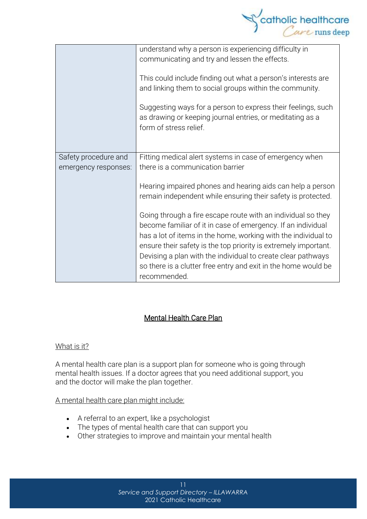

|                                              | understand why a person is experiencing difficulty in<br>communicating and try and lessen the effects.<br>This could include finding out what a person's interests are<br>and linking them to social groups within the community.<br>Suggesting ways for a person to express their feelings, such<br>as drawing or keeping journal entries, or meditating as a<br>form of stress relief. |
|----------------------------------------------|------------------------------------------------------------------------------------------------------------------------------------------------------------------------------------------------------------------------------------------------------------------------------------------------------------------------------------------------------------------------------------------|
| Safety procedure and<br>emergency responses: | Fitting medical alert systems in case of emergency when<br>there is a communication barrier                                                                                                                                                                                                                                                                                              |
|                                              | Hearing impaired phones and hearing aids can help a person<br>remain independent while ensuring their safety is protected.                                                                                                                                                                                                                                                               |
|                                              | Going through a fire escape route with an individual so they<br>become familiar of it in case of emergency. If an individual                                                                                                                                                                                                                                                             |
|                                              | has a lot of items in the home, working with the individual to<br>ensure their safety is the top priority is extremely important.                                                                                                                                                                                                                                                        |
|                                              | Devising a plan with the individual to create clear pathways<br>so there is a clutter free entry and exit in the home would be<br>recommended.                                                                                                                                                                                                                                           |

#### Mental Health Care Plan

#### What is it?

A mental health care plan is a support plan for someone who is going through mental health issues. If a doctor agrees that you need additional support, you and the doctor will make the plan together.

#### A mental health care plan might include:

- A referral to an expert, like a psychologist
- The types of mental health care that can support you
- Other strategies to improve and maintain your mental health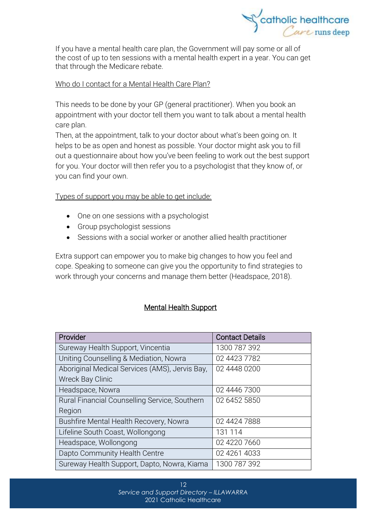

If you have a mental health care plan, the Government will pay some or all of the cost of up to ten sessions with a mental health expert in a year. You can get that through the [Medicare](https://headspace.org.au/blog/how-to-get-a-medicare-card-old/) rebate.

#### Who do I contact for a Mental Health Care Plan?

This needs to be done by your GP (general practitioner). When you book an appointment with your doctor tell them you want to talk about a mental health care plan.

Then, at the appointment, talk to your doctor about what's been going on. It helps to be as open and honest as possible. Your doctor might ask you to fill out a questionnaire about how you've been feeling to work out the best support for you. Your doctor will then refer you to a psychologist that they know of, or you can find your own.

Types of support you may be able to get include:

- One on one sessions with a psychologist
- Group psychologist sessions
- Sessions with a social worker or another allied health practitioner

Extra support can empower you to make big changes to how you feel and cope. Speaking to someone can give you the opportunity to find strategies to work through your concerns and manage them better (Headspace, 2018).

#### Mental Health Support

| Provider                                       | <b>Contact Details</b> |
|------------------------------------------------|------------------------|
| Sureway Health Support, Vincentia              | 1300 787 392           |
| Uniting Counselling & Mediation, Nowra         | 02 4423 7782           |
| Aboriginal Medical Services (AMS), Jervis Bay, | 02 4448 0200           |
| <b>Wreck Bay Clinic</b>                        |                        |
| Headspace, Nowra                               | 02 4446 7300           |
| Rural Financial Counselling Service, Southern  | 02 6452 5850           |
| Region                                         |                        |
| Bushfire Mental Health Recovery, Nowra         | 02 4424 7888           |
| Lifeline South Coast, Wollongong               | 131 114                |
| Headspace, Wollongong                          | 02 4220 7660           |
| Dapto Community Health Centre                  | 02 4261 4033           |
| Sureway Health Support, Dapto, Nowra, Kiama    | 1300 787 392           |